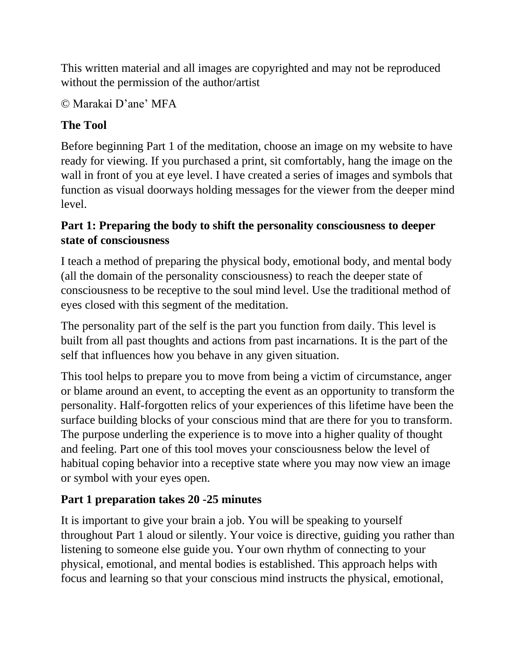This written material and all images are copyrighted and may not be reproduced without the permission of the author/artist

© Marakai D'ane' MFA

# **The Tool**

Before beginning Part 1 of the meditation, choose an image on my website to have ready for viewing. If you purchased a print, sit comfortably, hang the image on the wall in front of you at eye level. I have created a series of images and symbols that function as visual doorways holding messages for the viewer from the deeper mind level.

## **Part 1: Preparing the body to shift the personality consciousness to deeper state of consciousness**

I teach a method of preparing the physical body, emotional body, and mental body (all the domain of the personality consciousness) to reach the deeper state of consciousness to be receptive to the soul mind level. Use the traditional method of eyes closed with this segment of the meditation.

The personality part of the self is the part you function from daily. This level is built from all past thoughts and actions from past incarnations. It is the part of the self that influences how you behave in any given situation.

This tool helps to prepare you to move from being a victim of circumstance, anger or blame around an event, to accepting the event as an opportunity to transform the personality. Half-forgotten relics of your experiences of this lifetime have been the surface building blocks of your conscious mind that are there for you to transform. The purpose underling the experience is to move into a higher quality of thought and feeling. Part one of this tool moves your consciousness below the level of habitual coping behavior into a receptive state where you may now view an image or symbol with your eyes open.

# **Part 1 preparation takes 20 -25 minutes**

It is important to give your brain a job. You will be speaking to yourself throughout Part 1 aloud or silently. Your voice is directive, guiding you rather than listening to someone else guide you. Your own rhythm of connecting to your physical, emotional, and mental bodies is established. This approach helps with focus and learning so that your conscious mind instructs the physical, emotional,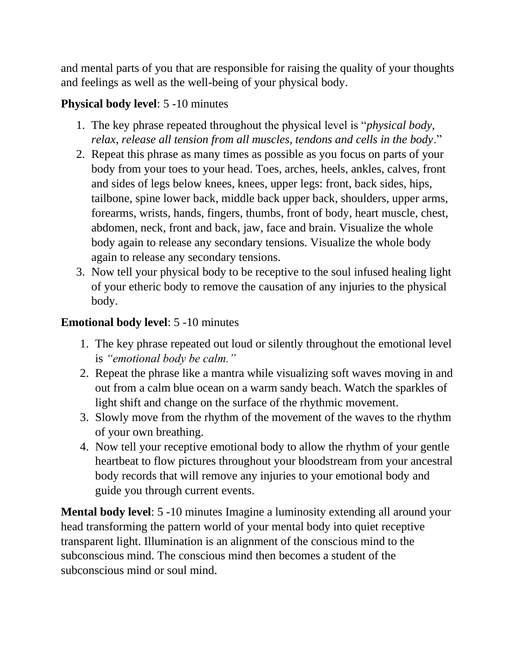and mental parts of you that are responsible for raising the quality of your thoughts and feelings as well as the well-being of your physical body.

#### **Physical body level**: 5 -10 minutes

- 1. The key phrase repeated throughout the physical level is "*physical body, relax, release all tension from all muscles, tendons and cells in the body*."
- 2. Repeat this phrase as many times as possible as you focus on parts of your body from your toes to your head. Toes, arches, heels, ankles, calves, front and sides of legs below knees, knees, upper legs: front, back sides, hips, tailbone, spine lower back, middle back upper back, shoulders, upper arms, forearms, wrists, hands, fingers, thumbs, front of body, heart muscle, chest, abdomen, neck, front and back, jaw, face and brain. Visualize the whole body again to release any secondary tensions. Visualize the whole body again to release any secondary tensions.
- 3. Now tell your physical body to be receptive to the soul infused healing light of your etheric body to remove the causation of any injuries to the physical body.

#### **Emotional body level**: 5 -10 minutes

- 1. The key phrase repeated out loud or silently throughout the emotional level is *"emotional body be calm."*
- 2. Repeat the phrase like a mantra while visualizing soft waves moving in and out from a calm blue ocean on a warm sandy beach. Watch the sparkles of light shift and change on the surface of the rhythmic movement.
- 3. Slowly move from the rhythm of the movement of the waves to the rhythm of your own breathing.
- 4. Now tell your receptive emotional body to allow the rhythm of your gentle heartbeat to flow pictures throughout your bloodstream from your ancestral body records that will remove any injuries to your emotional body and guide you through current events.

**Mental body level**: 5 -10 minutes Imagine a luminosity extending all around your head transforming the pattern world of your mental body into quiet receptive transparent light. Illumination is an alignment of the conscious mind to the subconscious mind. The conscious mind then becomes a student of the subconscious mind or soul mind.